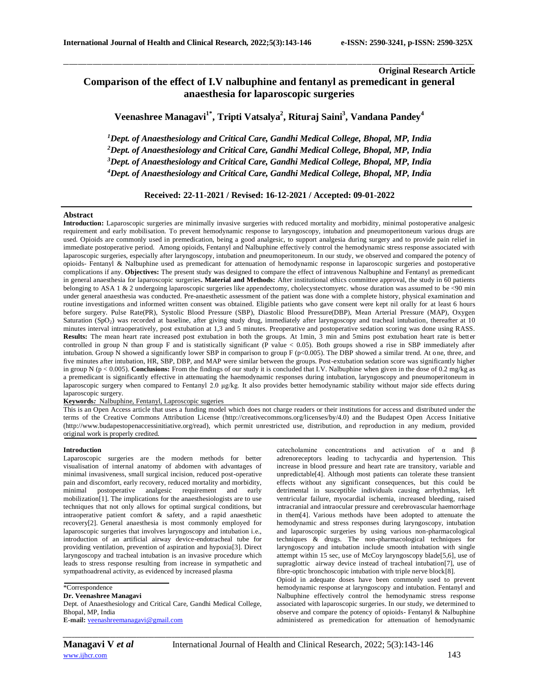# **Original Research Article Comparison of the effect of I.V nalbuphine and fentanyl as premedicant in general anaesthesia for laparoscopic surgeries**

**Veenashree Managavi1\* , Tripti Vatsalya<sup>2</sup> , Rituraj Saini<sup>3</sup> , Vandana Pandey<sup>4</sup>**

\_\_\_\_\_\_\_\_\_\_\_\_\_\_\_\_\_\_\_\_\_\_\_\_\_\_\_\_\_\_\_\_\_\_\_\_\_\_\_\_\_\_\_\_\_\_\_\_\_\_\_\_\_\_\_\_\_\_\_\_\_\_\_\_\_\_\_\_\_\_\_\_\_\_\_\_\_\_\_\_\_\_\_\_\_\_\_\_\_\_\_\_\_\_\_\_\_\_\_\_\_\_\_\_\_\_\_\_\_\_\_\_\_\_\_\_\_\_\_\_\_\_\_\_\_\_\_\_\_\_\_\_\_\_\_\_\_\_\_\_

*Dept. of Anaesthesiology and Critical Care, Gandhi Medical College, Bhopal, MP, India Dept. of Anaesthesiology and Critical Care, Gandhi Medical College, Bhopal, MP, India Dept. of Anaesthesiology and Critical Care, Gandhi Medical College, Bhopal, MP, India Dept. of Anaesthesiology and Critical Care, Gandhi Medical College, Bhopal, MP, India*

**Received: 22-11-2021 / Revised: 16-12-2021 / Accepted: 09-01-2022**

## **Abstract**

Introduction: Laparoscopic surgeries are minimally invasive surgeries with reduced mortality and morbidity, minimal postoperative analgesic requirement and early mobilisation. To prevent hemodynamic response to laryngoscopy, intubation and pneumoperitoneum various drugs are used. Opioids are commonly used in premedication, being a good analgesic, to support analgesia during surgery and to provide pain relief in immediate postoperative period. Among opioids, Fentanyl and Nalbuphine effectively control the hemodynamic stress response associated with laparoscopic surgeries, especially after laryngoscopy, intubation and pneumoperitoneum. In our study, we observed and compared the potency of opioids- Fentanyl & Nalbuphine used as premedicant for attenuation of hemodynamic response in laparoscopic surgeries and postoperative complications if any. **Objectives:** The present study was designed to compare the effect of intravenous Nalbuphine and Fentanyl as premedicant in general anaesthesia for laparoscopic surgeries**. Material and Methods:** After institutional ethics committee approval, the study in 60 patients belonging to ASA 1 & 2 undergoing laparoscopic surgeries like appendectomy, cholecystectomyetc. whose duration was assumed to be <90 min under general anaesthesia was conducted. Pre-anaesthetic assessment of the patient was done with a complete history, physical examination and routine investigations and informed written consent was obtained. Eligible patients who gave consent were kept nil orally for at least 6 hours before surgery. Pulse Rate(PR), Systolic Blood Pressure (SBP), Diastolic Blood Pressure(DBP), Mean Arterial Pressure (MAP), Oxygen Saturation (SpO<sub>2</sub>) was recorded at baseline, after giving study drug, immediately after laryngoscopy and tracheal intubation, thereafter at 10 minutes interval intraoperatively, post extubation at 1,3 and 5 minutes. Preoperative and postoperative sedation scoring was done using RASS. **Results:** The mean heart rate increased post extubation in both the groups. At 1min, 3 min and 5mins post extubation heart rate is better controlled in group N than group F and is statistically significant ( $\overline{P}$  value < 0.05). Both groups showed a rise in SBP immediately after intubation. Group N showed a significantly lower SBP in comparison to group F (p<0.005). The DBP showed a similar trend. At one, three, and five minutes after intubation, HR, SBP, DBP, and MAP were similar between the groups. Post-extubation sedation score was significantly higher in group N (p < 0.005). **Conclusions:** From the findings of our study it is concluded that I.V. Nalbuphine when given in the dose of 0.2 mg/kg as a premedicant is significantly effective in attenuating the haemodynamic responses during intubation, laryngoscopy and pneumoperitoneum in laparoscopic surgery when compared to Fentanyl 2.0 μg/kg. It also provides better hemodynamic stability without major side effects during laparoscopic surgery.

**Keywords***:* Nalbuphine, Fentanyl, Laproscopic sugeries

This is an Open Access article that uses a funding model which does not charge readers or their institutions for access and distributed under the terms of the Creative Commons Attribution License (http://creativecommons.org/licenses/by/4.0) and the Budapest Open Access Initiative (http://www.budapestopenaccessinitiative.org/read), which permit unrestricted use, distribution, and reproduction in any medium, provided original work is properly credited.

## **Introduction**

Laparoscopic surgeries are the modern methods for better visualisation of internal anatomy of abdomen with advantages of minimal invasiveness, small surgical incision, reduced post-operative pain and discomfort, early recovery, reduced mortality and morbidity, minimal postoperative analgesic requirement and early mobilization[1]. The implications for the anaesthesiologists are to use techniques that not only allows for optimal surgical conditions, but intraoperative patient comfort & safety, and a rapid anaesthetic recovery[2]. General anaesthesia is most commonly employed for laparoscopic surgeries that involves laryngoscopy and intubation i.e., introduction of an artificial airway device-endotracheal tube for providing ventilation, prevention of aspiration and hypoxia[3]. Direct laryngoscopy and tracheal intubation is an invasive procedure which leads to stress response resulting from increase in sympathetic and sympathoadrenal activity, as evidenced by increased plasma

\*Correspondence

**Dr. Veenashree Managavi**

Dept. of Anaesthesiology and Critical Care, Gandhi Medical College, Bhopal, MP, India **E-mail:** [veenashreemanagavi@gmail.com](mailto:veenashreemanagavi@gmail.com)

catecholamine concentrations and activation of  $\alpha$  and  $\beta$ adrenoreceptors leading to tachycardia and hypertension. This increase in blood pressure and heart rate are transitory, variable and unpredictable[4]. Although most patients can tolerate these transient effects without any significant consequences, but this could be detrimental in susceptible individuals causing arrhythmias, left ventricular failure, myocardial ischemia, increased bleeding, raised intracranial and intraocular pressure and cerebrovascular haemorrhage in them[4]. Various methods have been adopted to attenuate the hemodynamic and stress responses during laryngoscopy, intubation and laparoscopic surgeries by using various non-pharmacological techniques & drugs. The non-pharmacological techniques for laryngoscopy and intubation include smooth intubation with single attempt within 15 sec, use of McCoy laryngoscopy blade[5,6], use of supraglottic airway device instead of tracheal intubation[7], use of fibre-optic bronchoscopic intubation with triple nerve block[8].

Opioid in adequate doses have been commonly used to prevent hemodynamic response at laryngoscopy and intubation. Fentanyl and Nalbuphine effectively control the hemodynamic stress response associated with laparoscopic surgeries. In our study, we determined to observe and compare the potency of opioids- Fentanyl & Nalbuphine administered as premedication for attenuation of hemodynamic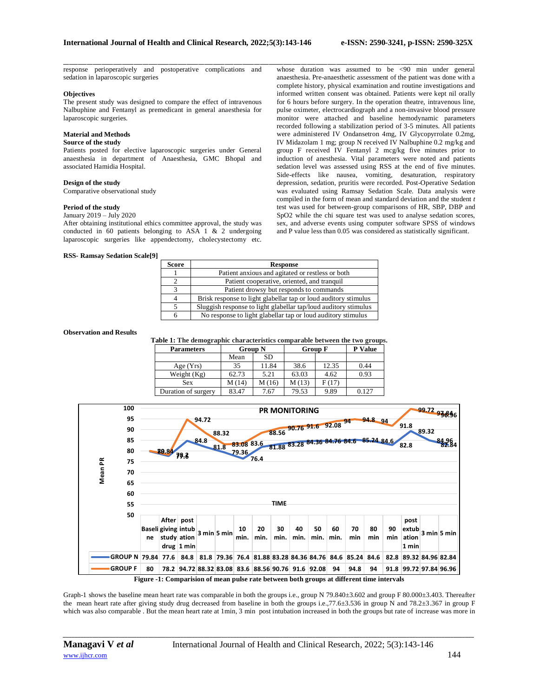response perioperatively and postoperative complications and sedation in laparoscopic surgeries

#### **Objectives**

The present study was designed to compare the effect of intravenous Nalbuphine and Fentanyl as premedicant in general anaesthesia for laparoscopic surgeries.

# **Material and Methods**

# **Source of the study**

Patients posted for elective laparoscopic surgeries under General anaesthesia in department of Anaesthesia, GMC Bhopal and associated Hamidia Hospital.

## **Design of the study**

Comparative observational study

## **Period of the study**

January 2019 – July 2020

After obtaining institutional ethics committee approval, the study was conducted in 60 patients belonging to ASA 1 & 2 undergoing laparoscopic surgeries like appendectomy, cholecystectomy etc.

#### **RSS- Ramsay Sedation Scale[9]**

\_\_\_\_\_\_\_\_\_\_\_\_\_\_\_\_\_\_\_\_\_\_\_\_\_\_\_\_\_\_\_\_\_\_\_\_\_\_\_\_\_\_\_\_\_\_\_\_\_\_\_\_\_\_\_\_\_\_\_\_\_\_\_\_\_\_\_\_\_\_\_\_\_\_\_\_\_\_\_\_\_\_\_\_\_\_\_\_\_\_\_\_\_\_\_\_\_\_\_\_\_\_\_\_\_\_\_\_\_\_\_\_\_\_\_\_\_\_\_\_\_\_\_\_\_\_\_\_\_\_\_\_\_\_\_\_\_\_\_\_ whose duration was assumed to be <90 min under general anaesthesia. Pre-anaesthetic assessment of the patient was done with a complete history, physical examination and routine investigations and informed written consent was obtained. Patients were kept nil orally for 6 hours before surgery. In the operation theatre, intravenous line, pulse oximeter, electrocardiograph and a non-invasive blood pressure monitor were attached and baseline hemodynamic parameters recorded following a stabilization period of 3-5 minutes. All patients were administered IV Ondansetron 4mg, IV Glycopyrrolate 0.2mg, IV Midazolam 1 mg; group N received IV Nalbuphine 0.2 mg/kg and group F received IV Fentanyl 2 mcg/kg five minutes prior to induction of anesthesia. Vital parameters were noted and patients sedation level was assessed using RSS at the end of five minutes. Side-effects like nausea, vomiting, desaturation, respiratory depression, sedation, pruritis were recorded. Post-Operative Sedation was evaluated using Ramsay Sedation Scale. Data analysis were compiled in the form of mean and standard deviation and the student *t*  test was used for between-group comparisons of HR, SBP, DBP and SpO2 while the chi square test was used to analyse sedation scores, sex, and adverse events using computer software SPSS of windows and P value less than 0.05 was considered as statistically significant.

| <b>Score</b>            | <b>Response</b>                                                 |
|-------------------------|-----------------------------------------------------------------|
|                         | Patient anxious and agitated or restless or both                |
|                         | Patient cooperative, oriented, and tranquil                     |
| $\overline{\mathbf{c}}$ | Patient drowsy but responds to commands                         |
| 4                       | Brisk response to light glabellar tap or loud auditory stimulus |
| 5                       | Sluggish response to light glabellar tap/loud auditory stimulus |
|                         | No response to light glabellar tap or loud auditory stimulus    |

#### **Observation and Results**

**Table 1: The demographic characteristics comparable between the two groups.**

| <b>Parameters</b>   | <b>Group N</b> |        | <b>Group F</b> |       | <b>P</b> Value |
|---------------------|----------------|--------|----------------|-------|----------------|
|                     | Mean           | SD     |                |       |                |
| Age(Yrs)            | 35             | 11.84  | 38.6           | 12.35 | 0.44           |
| Weight $(Kg)$       | 62.73          | 5.21   | 63.03          | 4.62  | 0.93           |
| <b>Sex</b>          | M(14)          | M (16) | M(13)          | F(17) |                |
| Duration of surgery | 83.47          | 7.67   | 79.53          | 9.89  | 0.127          |



Graph-1 shows the baseline mean heart rate was comparable in both the groups i.e., group N 79.840 $\pm$ 3.602 and group F 80.000 $\pm$ 3.403. Thereafter the mean heart rate after giving study drug decreased from baseline in both the groups i.e.,77.6±3.536 in group N and 78.2±3.367 in group F which was also comparable . But the mean heart rate at 1min, 3 min post intubation increased in both the groups but rate of increase was more in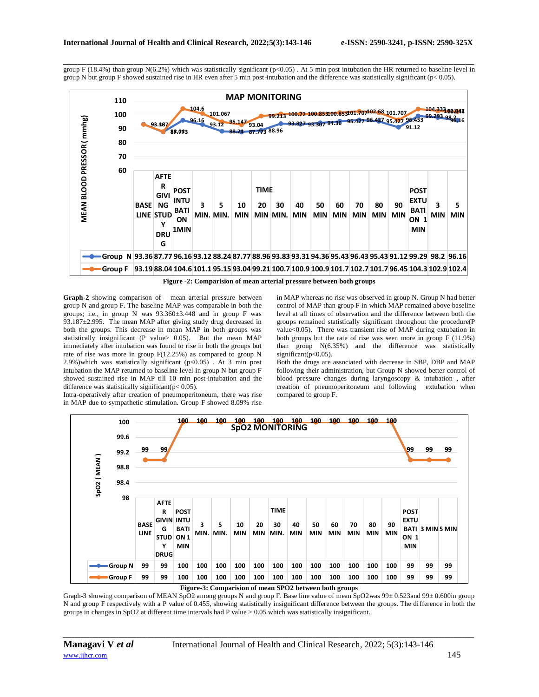\_\_\_\_\_\_\_\_\_\_\_\_\_\_\_\_\_\_\_\_\_\_\_\_\_\_\_\_\_\_\_\_\_\_\_\_\_\_\_\_\_\_\_\_\_\_\_\_\_\_\_\_\_\_\_\_\_\_\_\_\_\_\_\_\_\_\_\_\_\_\_\_\_\_\_\_\_\_\_\_\_\_\_\_\_\_\_\_\_\_\_\_\_\_\_\_\_\_\_\_\_\_\_\_\_\_\_\_\_\_\_\_\_\_\_\_\_\_\_\_\_\_\_\_\_\_\_\_\_\_\_\_\_\_\_\_\_\_\_\_ group F (18.4%) than group N(6.2%) which was statistically significant ( $p<0.05$ ). At 5 min post intubation the HR returned to baseline level in group N but group F showed sustained rise in HR even after 5 min post-intubation and the difference was statistically significant (p< 0.05).



**Figure -2: Comparision of mean arterial pressure between both groups**

**Graph-2** showing comparison of mean arterial pressure between group N and group F. The baseline MAP was comparable in both the groups; i.e., in group N was  $93.360 \pm 3.448$  and in group F was 93.187±2.995. The mean MAP after giving study drug decreased in both the groups. This decrease in mean MAP in both groups was statistically insignificant (P value> 0.05). But the mean MAP immediately after intubation was found to rise in both the groups but rate of rise was more in group F(12.25%) as compared to group N 2.9%)which was statistically significant (p<0.05) . At 3 min post intubation the MAP returned to baseline level in group N but group F showed sustained rise in MAP till 10 min post-intubation and the difference was statistically significant( $p < 0.05$ ).

Intra-operatively after creation of pneumoperitoneum, there was rise in MAP due to sympathetic stimulation. Group F showed 8.09% rise

in MAP whereas no rise was observed in group N. Group N had better control of MAP than group F in which MAP remained above baseline level at all times of observation and the difference between both the groups remained statistically significant throughout the procedure(P value<0.05). There was transient rise of MAP during extubation in both groups but the rate of rise was seen more in group F (11.9%) than group N(6.35%) and the difference was statistically significant(p<0.05).

Both the drugs are associated with decrease in SBP, DBP and MAP following their administration, but Group N showed better control of blood pressure changes during laryngoscopy & intubation , after creation of pneumoperitoneum and following extubation when compared to group F.



**Figure-3: Comparision of mean SPO2 between both groups**

Graph-3 showing comparison of MEAN SpO2 among groups N and group F. Base line value of mean SpO2was 99± 0.523and 99± 0.600in group N and group F respectively with a P value of 0.455, showing statistically insignificant difference between the groups. The difference in both the groups in changes in SpO2 at different time intervals had P value > 0.05 which was statistically insignificant.